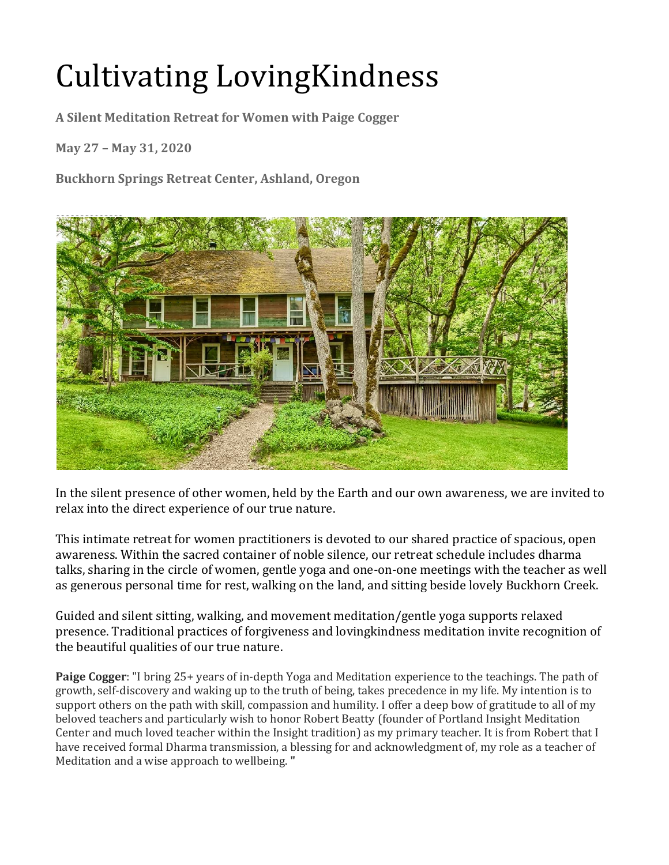## **Cultivating LovingKindness**

A Silent Meditation Retreat for Women with Paige Cogger

**May 27 – May 31, 2020** 

**Buckhorn Springs Retreat Center, Ashland, Oregon** 



In the silent presence of other women, held by the Earth and our own awareness, we are invited to relax into the direct experience of our true nature.

This intimate retreat for women practitioners is devoted to our shared practice of spacious, open awareness. Within the sacred container of noble silence, our retreat schedule includes dharma talks, sharing in the circle of women, gentle yoga and one-on-one meetings with the teacher as well as generous personal time for rest, walking on the land, and sitting beside lovely Buckhorn Creek.

Guided and silent sitting, walking, and movement meditation/gentle yoga supports relaxed presence. Traditional practices of forgiveness and lovingkindness meditation invite recognition of the beautiful qualities of our true nature.

**Paige Cogger**: "I bring 25+ years of in-depth Yoga and Meditation experience to the teachings. The path of growth, self-discovery and waking up to the truth of being, takes precedence in my life. My intention is to support others on the path with skill, compassion and humility. I offer a deep bow of gratitude to all of my beloved teachers and particularly wish to honor Robert Beatty (founder of Portland Insight Meditation Center and much loved teacher within the Insight tradition) as my primary teacher. It is from Robert that I have received formal Dharma transmission, a blessing for and acknowledgment of, my role as a teacher of Meditation and a wise approach to wellbeing. "